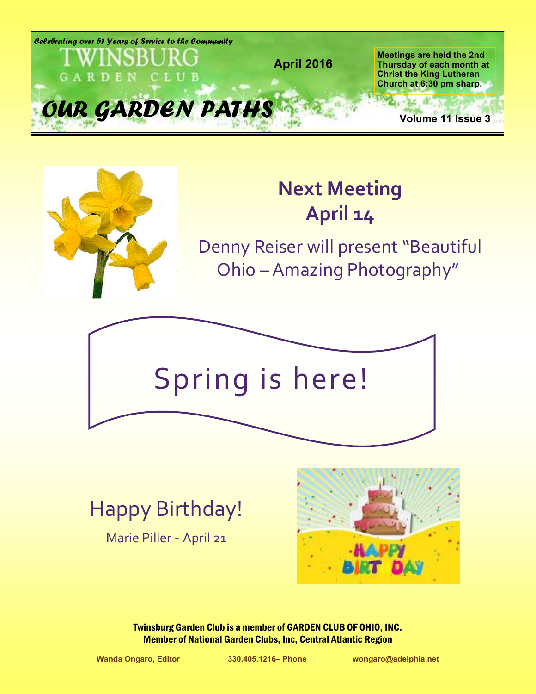



# **Next Meeting April 14**

Denny Reiser will present "Beautiful Ohio – Amazing Photography"



Happy Birthday!

Marie Piller - April 21



Twinsburg Garden Club is a member of GARDEN CLUB OF OHIO, INC. Member of National Garden Clubs, Inc, Central Atlantic Region

**Wanda Ongaro, Editor 330.405.1216– Phone wongaro@adelphia.net**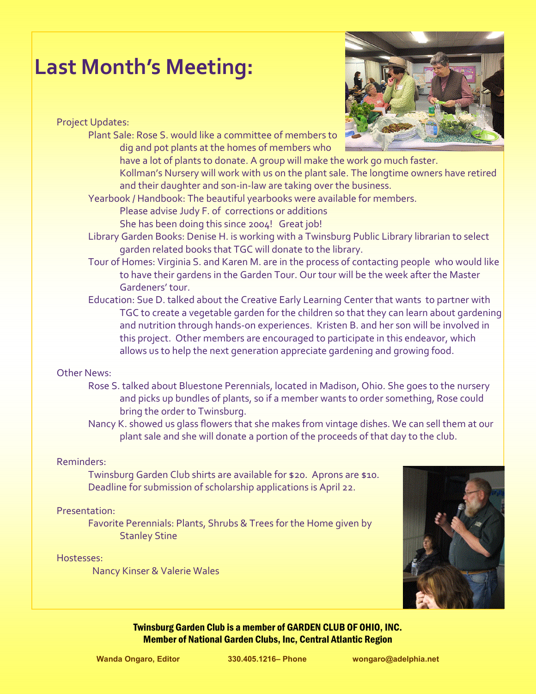## **Last Month's Meeting:**

Project Updates:

Plant Sale: Rose S. would like a committee of members to dig and pot plants at the homes of members who



have a lot of plants to donate. A group will make the work go much faster.

Kollman's Nursery will work with us on the plant sale. The longtime owners have retired and their daughter and son-in-law are taking over the business.

Yearbook / Handbook: The beautiful yearbooks were available for members.

Please advise Judy F. of corrections or additions She has been doing this since 2004! Great job!

- Library Garden Books: Denise H. is working with a Twinsburg Public Library librarian to select garden related books that TGC will donate to the library.
- Tour of Homes: Virginia S. and Karen M. are in the process of contacting people who would like to have their gardens in the Garden Tour. Our tour will be the week after the Master Gardeners' tour.
- Education: Sue D. talked about the Creative Early Learning Center that wants to partner with TGC to create a vegetable garden for the children so that they can learn about gardening and nutrition through hands-on experiences. Kristen B. and her son will be involved in this project. Other members are encouraged to participate in this endeavor, which allows us to help the next generation appreciate gardening and growing food.

#### Other News:

- Rose S. talked about Bluestone Perennials, located in Madison, Ohio. She goes to the nursery and picks up bundles of plants, so if a member wants to order something, Rose could bring the order to Twinsburg.
- Nancy K. showed us glass flowers that she makes from vintage dishes. We can sell them at our plant sale and she will donate a portion of the proceeds of that day to the club.

#### Reminders:

Twinsburg Garden Club shirts are available for \$20. Aprons are \$10. Deadline for submission of scholarship applications is April 22.

#### Presentation:

Favorite Perennials: Plants, Shrubs & Trees for the Home given by Stanley Stine

#### Hostesses:

Nancy Kinser & Valerie Wales

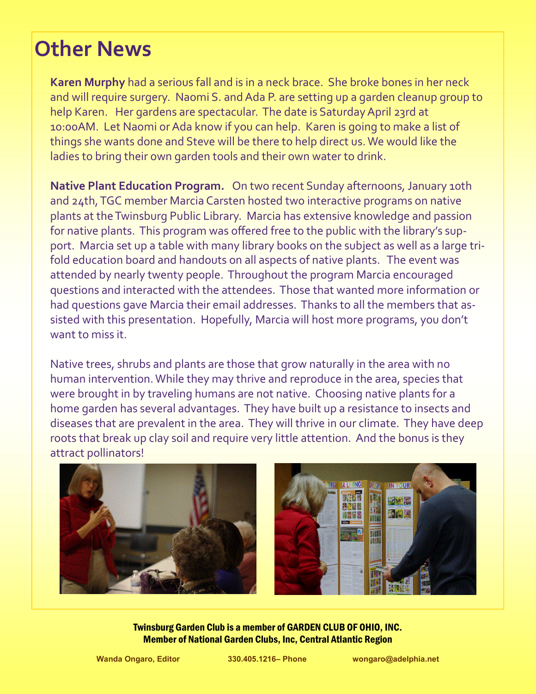# **Other News**

**Karen Murphy** had a serious fall and is in a neck brace. She broke bones in her neck and will require surgery. Naomi S. and Ada P. are setting up a garden cleanup group to help Karen. Her gardens are spectacular. The date is Saturday April 23rd at 10:00AM. Let Naomi or Ada know if you can help. Karen is going to make a list of things she wants done and Steve will be there to help direct us. We would like the ladies to bring their own garden tools and their own water to drink.

**Native Plant Education Program.** On two recent Sunday afternoons, January 10th and 24th, TGC member Marcia Carsten hosted two interactive programs on native plants at the Twinsburg Public Library. Marcia has extensive knowledge and passion for native plants. This program was offered free to the public with the library's support. Marcia set up a table with many library books on the subject as well as a large trifold education board and handouts on all aspects of native plants. The event was attended by nearly twenty people. Throughout the program Marcia encouraged questions and interacted with the attendees. Those that wanted more information or had questions gave Marcia their email addresses. Thanks to all the members that assisted with this presentation. Hopefully, Marcia will host more programs, you don't want to miss it.

Native trees, shrubs and plants are those that grow naturally in the area with no human intervention. While they may thrive and reproduce in the area, species that were brought in by traveling humans are not native. Choosing native plants for a home garden has several advantages. They have built up a resistance to insects and diseases that are prevalent in the area. They will thrive in our climate. They have deep roots that break up clay soil and require very little attention. And the bonus is they attract pollinators!

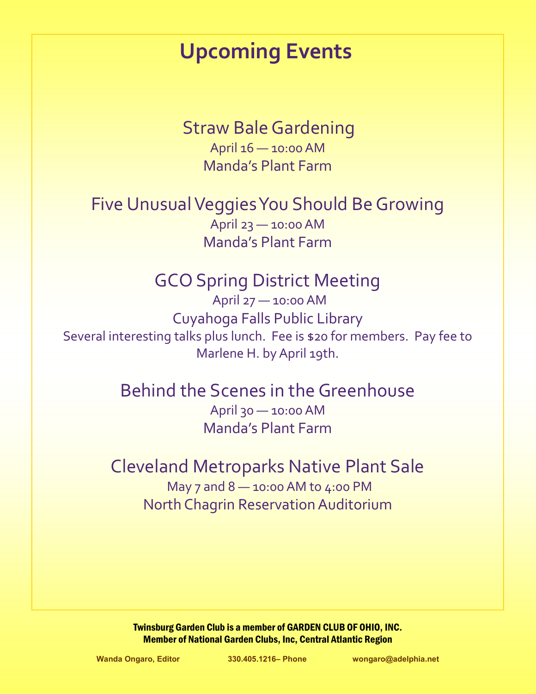# **Upcoming Events**

Straw Bale Gardening April 16 — 10:00 AM Manda's Plant Farm

Five Unusual Veggies You Should Be Growing April 23 — 10:00 AM Manda's Plant Farm

## GCO Spring District Meeting

April 27 — 10:00 AM Cuyahoga Falls Public Library Several interesting talks plus lunch. Fee is \$20 for members. Pay fee to Marlene H. by April 19th.

### Behind the Scenes in the Greenhouse

April 30 — 10:00 AM Manda's Plant Farm

## Cleveland Metroparks Native Plant Sale

May 7 and 8 — 10:00 AM to 4:00 PM North Chagrin Reservation Auditorium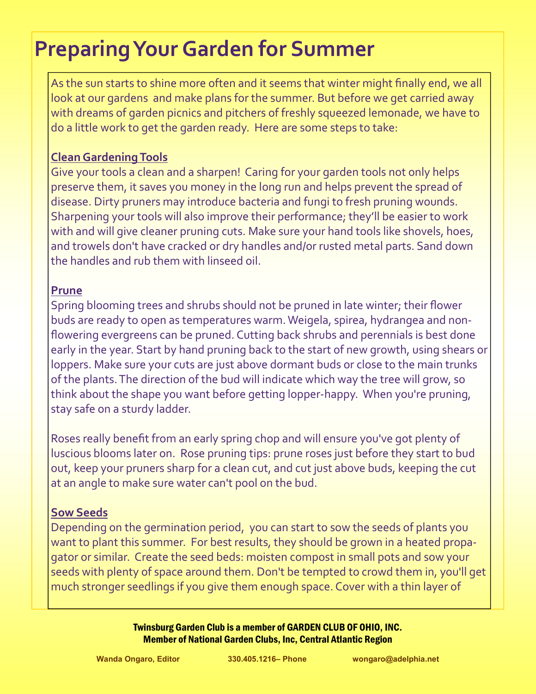# **Preparing Your Garden for Summer**

As the sun starts to shine more often and it seems that winter might finally end, we all look at our gardens and make plans for the summer. But before we get carried away with dreams of garden picnics and pitchers of freshly squeezed lemonade, we have to do a little work to get the garden ready. Here are some steps to take:

### **Clean Gardening Tools**

Give your tools a clean and a sharpen! Caring for your garden tools not only helps preserve them, it saves you money in the long run and helps prevent the spread of disease. Dirty pruners may introduce bacteria and fungi to fresh pruning wounds. Sharpening your tools will also improve their performance; they'll be easier to work with and will give cleaner pruning cuts. Make sure your hand tools like shovels, hoes, and trowels don't have cracked or dry handles and/or rusted metal parts. Sand down the handles and rub them with linseed oil.

#### **Prune**

Spring blooming trees and shrubs should not be pruned in late winter; their flower buds are ready to open as temperatures warm. Weigela, spirea, hydrangea and nonflowering evergreens can be pruned. Cutting back shrubs and perennials is best done early in the year. Start by hand pruning back to the start of new growth, using shears or loppers. Make sure your cuts are just above dormant buds or close to the main trunks of the plants. The direction of the bud will indicate which way the tree will grow, so think about the shape you want before getting lopper-happy. When you're pruning, stay safe on a sturdy ladder.

Roses really benefit from an early spring chop and will ensure you've got plenty of luscious blooms later on. Rose pruning tips: prune roses just before they start to bud out, keep your pruners sharp for a clean cut, and cut just above buds, keeping the cut at an angle to make sure water can't pool on the bud.

### **Sow Seeds**

Depending on the germination period, you can start to sow the seeds of plants you want to plant this summer. For best results, they should be grown in a heated propagator or similar. Create the seed beds: moisten compost in small pots and sow your seeds with plenty of space around them. Don't be tempted to crowd them in, you'll get much stronger seedlings if you give them enough space. Cover with a thin layer of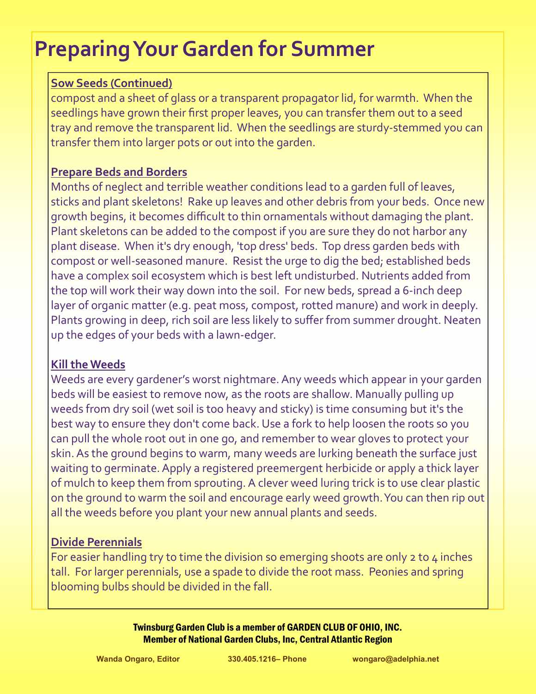# **Preparing Your Garden for Summer**

### **Sow Seeds (Continued)**

compost and a sheet of glass or a transparent propagator lid, for warmth. When the seedlings have grown their first proper leaves, you can transfer them out to a seed tray and remove the transparent lid. When the seedlings are sturdy-stemmed you can transfer them into larger pots or out into the garden.

#### **Prepare Beds and Borders**

Months of neglect and terrible weather conditions lead to a garden full of leaves, sticks and plant skeletons! Rake up leaves and other debris from your beds. Once new growth begins, it becomes difficult to thin ornamentals without damaging the plant. Plant skeletons can be added to the compost if you are sure they do not harbor any plant disease. When it's dry enough, 'top dress' beds. Top dress garden beds with compost or well-seasoned manure. Resist the urge to dig the bed; established beds have a complex soil ecosystem which is best left undisturbed. Nutrients added from the top will work their way down into the soil. For new beds, spread a 6-inch deep layer of organic matter (e.g. peat moss, compost, rotted manure) and work in deeply. Plants growing in deep, rich soil are less likely to suffer from summer drought. Neaten up the edges of your beds with a lawn-edger.

#### **Kill the Weeds**

Weeds are every gardener's worst nightmare. Any weeds which appear in your garden beds will be easiest to remove now, as the roots are shallow. Manually pulling up weeds from dry soil (wet soil is too heavy and sticky) is time consuming but it's the best way to ensure they don't come back. Use a fork to help loosen the roots so you can pull the whole root out in one go, and remember to wear gloves to protect your skin. As the ground begins to warm, many weeds are lurking beneath the surface just waiting to germinate. Apply a registered preemergent herbicide or apply a thick layer of mulch to keep them from sprouting. A clever weed luring trick is to use clear plastic on the ground to warm the soil and encourage early weed growth. You can then rip out all the weeds before you plant your new annual plants and seeds.

### **Divide Perennials**

For easier handling try to time the division so emerging shoots are only 2 to 4 inches tall. For larger perennials, use a spade to divide the root mass. Peonies and spring blooming bulbs should be divided in the fall.